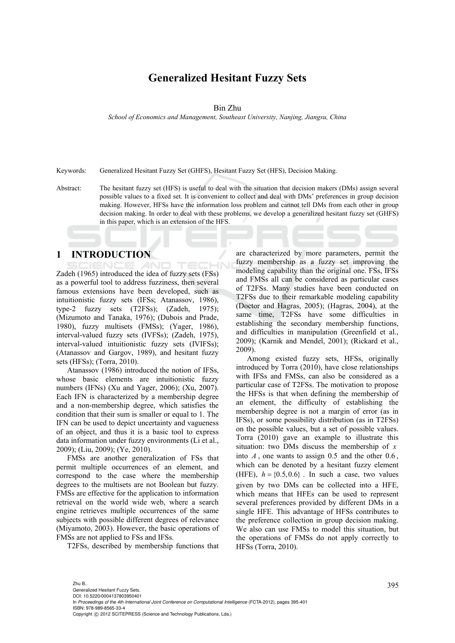# **Generalized Hesitant Fuzzy Sets**

#### Bin Zhu

*School of Economics and Management, Southeast University, Nanjing, Jiangsu, China* 

Keywords: Generalized Hesitant Fuzzy Set (GHFS), Hesitant Fuzzy Set (HFS), Decision Making.

Abstract: The hesitant fuzzy set (HFS) is useful to deal with the situation that decision makers (DMs) assign several possible values to a fixed set. It is convenient to collect and deal with DMs' preferences in group decision making. However, HFSs have the information loss problem and cannot tell DMs from each other in group decision making. In order to deal with these problems, we develop a generalized hesitant fuzzy set (GHFS) in this paper, which is an extension of the HFS.

## **1 INTRODUCTION**

Zadeh (1965) introduced the idea of fuzzy sets (FSs) as a powerful tool to address fuzziness, then several famous extensions have been developed, such as intuitionistic fuzzy sets (IFSs; Atanassov, 1986), type-2 fuzzy sets (T2FSs); (Zadeh, 1975); (Mizumoto and Tanaka, 1976); (Dubois and Prade, 1980), fuzzy multisets (FMSs); (Yager, 1986), interval-valued fuzzy sets (IVFSs); (Zadeh, 1975), interval-valued intuitionistic fuzzy sets (IVIFSs); (Atanassov and Gargov, 1989), and hesitant fuzzy sets (HFSs); (Torra, 2010).

Atanassov (1986) introduced the notion of IFSs, whose basic elements are intuitionistic fuzzy numbers (IFNs) (Xu and Yager, 2006); (Xu, 2007). Each IFN is characterized by a membership degree and a non-membership degree, which satisfies the condition that their sum is smaller or equal to 1. The IFN can be used to depict uncertainty and vagueness of an object, and thus it is a basic tool to express data information under fuzzy environments (Li et al., 2009); (Liu, 2009); (Ye, 2010).

FMSs are another generalization of FSs that permit multiple occurrences of an element, and correspond to the case where the membership degrees to the multisets are not Boolean but fuzzy. FMSs are effective for the application to information retrieval on the world wide web, where a search engine retrieves multiple occurrences of the same subjects with possible different degrees of relevance (Miyamoto, 2003). However, the basic operations of FMSs are not applied to FSs and IFSs.

T2FSs, described by membership functions that

are characterized by more parameters, permit the fuzzy membership as a fuzzy set improving the modeling capability than the original one. FSs, IFSs and FMSs all can be considered as particular cases of T2FSs. Many studies have been conducted on T2FSs due to their remarkable modeling capability (Doctor and Hagras, 2005); (Hagras, 2004), at the same time, T2FSs have some difficulties in establishing the secondary membership functions, and difficulties in manipulation (Greenfield et al., 2009); (Karnik and Mendel, 2001); (Rickard et al., 2009).

Among existed fuzzy sets, HFSs, originally introduced by Torra (2010), have close relationships with IFSs and FMSs, can also be considered as a particular case of T2FSs. The motivation to propose the HFSs is that when defining the membership of an element, the difficulty of establishing the membership degree is not a margin of error (as in IFSs), or some possibility distribution (as in T2FSs) on the possible values, but a set of possible values. Torra (2010) gave an example to illustrate this situation: two DMs discuss the membership of *x* into  $A$ , one wants to assign  $0.5$  and the other  $0.6$ , which can be denoted by a hesitant fuzzy element (HFE),  $h = \{0.5, 0.6\}$ . In such a case, two values given by two DMs can be collected into a HFE, which means that HFEs can be used to represent several preferences provided by different DMs in a single HFE. This advantage of HFSs contributes to the preference collection in group decision making. We also can use FMSs to model this situation, but the operations of FMSs do not apply correctly to HFSs (Torra, 2010).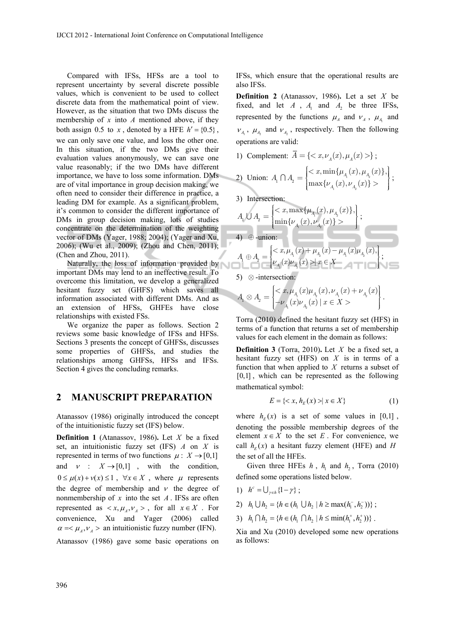Compared with IFSs, HFSs are a tool to represent uncertainty by several discrete possible values, which is convenient to be used to collect discrete data from the mathematical point of view. However, as the situation that two DMs discuss the membership of *x* into *A* mentioned above, if they both assign 0.5 to *x*, denoted by a HFE  $h' = \{0.5\}$ , we can only save one value, and loss the other one. In this situation, if the two DMs give their evaluation values anonymously, we can save one value reasonably; if the two DMs have different importance, we have to loss some information. DMs are of vital importance in group decision making, we often need to consider their difference in practice, a leading DM for example. As a significant problem, it's common to consider the different importance of DMs in group decision making, lots of studies concentrate on the determination of the weighting vector of DMs (Yager, 1988; 2004); (Yager and Xu, 2006); (Wu et al., 2009); (Zhou and Chen, 2011); (Chen and Zhou, 2011).

Naturally, the loss of information provided by important DMs may lend to an ineffective result. To overcome this limitation, we develop a generalized hesitant fuzzy set (GHFS) which saves all information associated with different DMs. And as an extension of HFSs, GHFEs have close relationships with existed FSs.

We organize the paper as follows. Section 2 reviews some basic knowledge of IFSs and HFSs. Sections 3 presents the concept of GHFSs, discusses some properties of GHFSs, and studies the relationships among GHFSs, HFSs and IFSs. Section 4 gives the concluding remarks.

## **2 MANUSCRIPT PREPARATION**

Atanassov (1986) originally introduced the concept of the intuitionistic fuzzy set (IFS) below.

**Definition 1** (Atanassov, 1986)**.** Let *X* be a fixed set, an intuitionistic fuzzy set (IFS) *A* on *X* is represented in terms of two functions  $\mu : X \rightarrow [0,1]$ and  $v : X \rightarrow [0,1]$ , with the condition,  $0 \le \mu(x) + \nu(x) \le 1$ ,  $\forall x \in X$ , where  $\mu$  represents the degree of membership and  $\nu$  the degree of nonmembership of  $x$  into the set  $A$ . IFSs are often represented as  $\langle x, \mu_A, \nu_A \rangle$ , for all  $x \in X$ . For convenience, Xu and Yager (2006) called  $\alpha = \mu_A, \nu_A >$  an intuitionistic fuzzy number (IFN).

Atanassov (1986) gave some basic operations on

IFSs, which ensure that the operational results are also IFSs.

**Definition 2** (Atanassov, 1986). Let a set  $X$  be fixed, and let  $A$ ,  $A_1$  and  $A_2$  be three IFSs, represented by the functions  $\mu_A$  and  $\nu_A$ ,  $\mu_A$  and  $V_{A_1}$ ,  $\mu_{A_2}$  and  $V_{A_2}$ , respectively. Then the following operations are valid:

1) Complement:  $\overline{A} = \{ \langle x, \nu_x(x), \mu_y(x) \rangle \}$ ;

2) Union: 
$$
A_1 \cap A_2 = \begin{cases} \langle x, \min\{\mu_{A_1}(x), \mu_{A_2}(x)\}, \\ \max\{\nu_{A_1}(x), \nu_{A_2}(x)\} > \end{cases}
$$
;

3) Intersection:

$$
A_{\!\! 1}\, \text{\large $\cup$}\, A_{\!\! 2} = \begin{cases}  \end{cases}\,;
$$

4)  $\oplus$  -union:

$$
A_{\!\! 1} \oplus A_{\!\! 2} = \begin{cases}  \mid x \in X \end{cases};
$$

5)  $\otimes$  -intersection:

$$
A_{\!\! 1}\otimes A_{\!\! 2}=\begin{bmatrix}  \end{bmatrix}.
$$

Torra (2010) defined the hesitant fuzzy set (HFS) in terms of a function that returns a set of membership values for each element in the domain as follows:

**Definition 3** (Torra, 2010)**.** Let *X* be a fixed set, a hesitant fuzzy set (HFS) on *X* is in terms of a function that when applied to *X* returns a subset of [0,1], which can be represented as the following mathematical symbol:

$$
E = \{ \langle x, h_E(x) \rangle \mid x \in X \} \tag{1}
$$

where  $h_F(x)$  is a set of some values in [0,1], denoting the possible membership degrees of the element  $x \in X$  to the set *E*. For convenience, we call  $h_F(x)$  a hesitant fuzzy element (HFE) and *H* the set of all the HFEs.

Given three HFEs  $h$ ,  $h_1$  and  $h_2$ , Torra (2010) defined some operations listed below.

- 1)  $h^c = \bigcup_{\gamma \in h} \{1 \gamma\};$
- 2)  $h_1 \bigcup h_2 = \{ h \in (h_1 \bigcup h_2 \mid h \ge \max(h_1^-, h_2^-)) \}$ ;
- 3)  $h_1 \bigcap h_2 = \{ h \in (h_1 \bigcap h_2 \mid h \leq \min(h_1^+, h_2^+)) \}$ .

Xia and Xu (2010) developed some new operations as follows: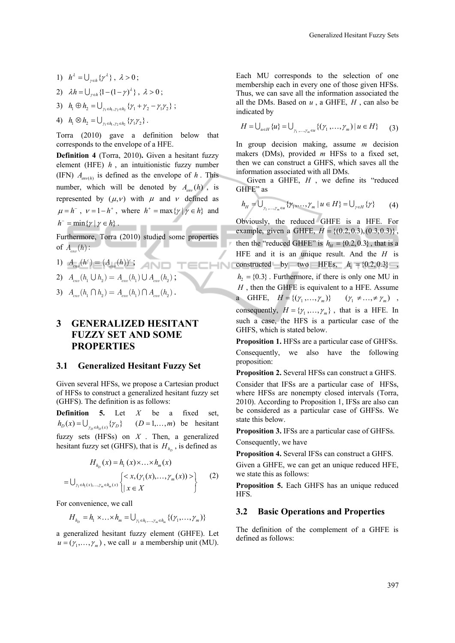- 1)  $h^{\lambda} = \bigcup_{\gamma \in h} {\gamma^{\lambda}}$ ,  $\lambda > 0$ ;
- 2)  $\lambda h = \bigcup_{\kappa \in h} \{1 (1 \gamma)^{\lambda}\}, \lambda > 0;$
- 3)  $h_1 \oplus h_2 = \bigcup_{\gamma_1 \in h_1, \gamma_2 \in h_2} {\gamma_1 + \gamma_2 \gamma_1 \gamma_2}$ ;
- 4)  $h_1 \otimes h_2 = \bigcup_{\gamma_1 \in h_1, \gamma_2 \in h_2} \{ \gamma_1 \gamma_2 \}.$

Torra (2010) gave a definition below that corresponds to the envelope of a HFE.

**Definition 4** (Torra, 2010)**.** Given a hesitant fuzzy element (HFE) *h* , an intuitionistic fuzzy number (IFN)  $A_{env(h)}$  is defined as the envelope of *h*. This number, which will be denoted by  $A_{\text{env}}(h)$ , is represented by  $(\mu, v)$  with  $\mu$  and  $\nu$  defined as  $\mu = h^{-}$ ,  $\nu = 1 - h^{+}$ , where  $h^{+} = \max\{\gamma | \gamma \in h\}$  and  $h^-$  = min{ $\gamma | \gamma \in h$  }.

Furthermore, Torra (2010) studied some properties of  $A_n(h)$  :

- 1)  $A_{\text{env}}(h^c) = (A_{\text{env}}(h))^c$ ;  $\overline{=}$   $\overline{=}$   $\overline{=}$   $\overline{>}$
- 2)  $A_{\text{env}}(h_1 \cup h_2) = A_{\text{env}}(h_1) \cup A_{\text{env}}(h_2)$ ;
- 3)  $A_{\text{env}}(h_1 \cap h_2) = A_{\text{env}}(h_1) \cap A_{\text{env}}(h_2)$ .

## **3 GENERALIZED HESITANT FUZZY SET AND SOME PROPERTIES**

### **3.1 Generalized Hesitant Fuzzy Set**

Given several HFSs, we propose a Cartesian product of HFSs to construct a generalized hesitant fuzzy set (GHFS). The definition is as follows:

**Definition 5.** Let *X* be a fixed set,  $h_D(x) = \bigcup_{\gamma_D \in h_D(x)} {\gamma_D}$   $(D = 1,...,m)$  be hesitant fuzzy sets (HFSs) on *X* . Then, a generalized hesitant fuzzy set (GHFS), that is  $H_{h_n}$ , is defined as

$$
H_{h_D}(x) = h_1(x) \times ... \times h_m(x)
$$
  
=  $\bigcup_{\gamma_1 \in h_1(x), ..., \gamma_m \in h_m(x)} \left\{ \begin{cases} < x, (\gamma_1(x), ..., \gamma_m(x)) > \\ x \in X \end{cases} \right\}$  (2)

For convenience, we call

$$
H_{h_D} = h_1 \times \ldots \times h_m = \bigcup_{\gamma_1 \in h_1, \ldots, \gamma_m \in h_m} \{(\gamma_1, \ldots, \gamma_m)\}
$$

a generalized hesitant fuzzy element (GHFE). Let  $u = (\gamma_1, \dots, \gamma_m)$ , we call *u* a membership unit (MU).

Each MU corresponds to the selection of one membership each in every one of those given HFSs. Thus, we can save all the information associated the all the DMs. Based on *u* , a GHFE, *H* , can also be indicated by

$$
H = \bigcup_{u \in H} \{u\} = \bigcup_{\gamma_1, \dots, \gamma_m \in u} \{(\gamma_1, \dots, \gamma_m) \mid u \in H\} \tag{3}
$$

In group decision making, assume *m* decision makers (DMs), provided *m* HFSs to a fixed set, then we can construct a GHFS, which saves all the information associated with all DMs.

Given a GHFE,  $H$ , we define its "reduced GHFE" as

$$
h_H = \bigcup_{\gamma_1, \dots, \gamma_m \in u} \{ \gamma_1, \dots, \gamma_m \mid u \in H \} = \bigcup_{\gamma \in H} \{ \gamma \} \tag{4}
$$

Obviously, the reduced GHFE is a HFE. For example, given a GHFE,  $H = \{(0.2, 0.3), (0.3, 0.3)\}\,$ , then the "reduced GHFE" is  $h_H = \{0.2, 0.3\}$ , that is a HFE and it is an unique result. And the *H* is constructed by two HFEs,  $h_1 = \{0.2, 0.3\}$ ,  $h_2 = \{0.3\}$ . Furthermore, if there is only one MU in *H* , then the GHFE is equivalent to a HFE. Assume a GHFE,  $H = \{ (\gamma_1, ..., \gamma_m) \}$   $(\gamma_1 \neq ... \neq \gamma_m)$ , consequently,  $H = \{ \gamma_1, ..., \gamma_m \}$ , that is a HFE. In such a case, the HFS is a particular case of the GHFS, which is stated below.

**Proposition 1.** HFSs are a particular case of GHFSs. Consequently, we also have the following proposition:

**Proposition 2.** Several HFSs can construct a GHFS.

Consider that IFSs are a particular case of HFSs, where HFSs are nonempty closed intervals (Torra, 2010). According to Proposition 1, IFSs are also can be considered as a particular case of GHFSs. We state this below.

**Proposition 3.** IFSs are a particular case of GHFSs. Consequently, we have

**Proposition 4.** Several IFSs can construct a GHFS.

Given a GHFE, we can get an unique reduced HFE, we state this as follows:

**Proposition 5.** Each GHFS has an unique reduced HFS.

### **3.2 Basic Operations and Properties**

The definition of the complement of a GHFE is defined as follows: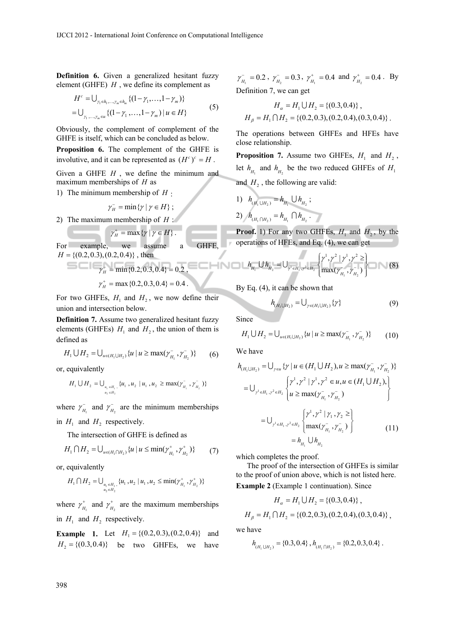**Definition 6.** Given a generalized hesitant fuzzy element (GHFE) *H* , we define its complement as

$$
H^{c} = \bigcup_{\gamma_{1} \in h_{1},..., \gamma_{m} \in h_{m}} \{ (1 - \gamma_{1},..., 1 - \gamma_{m}) \}
$$
  
= 
$$
\bigcup_{\gamma_{1},..., \gamma_{m} \in u} \{ (1 - \gamma_{1},..., 1 - \gamma_{m}) \mid u \in H \}
$$
 (5)

Obviously, the complement of complement of the GHFE is itself, which can be concluded as below.

**Proposition 6.** The complement of the GHFE is involutive, and it can be represented as  $(H<sup>c</sup>)<sup>c</sup> = H$ .

Given a GHFE *H* , we define the minimum and maximum memberships of *H* as

1) The minimum membership of  $H \cdot$ 

 $\gamma_H^-$  = min{ $\gamma | \gamma \in H$ };

2) The maximum membership of *H* :

$$
\gamma_H^+ = \max \{ \gamma \mid \gamma \in H \}.
$$

For example, we assume a GHFE,  $H = \{(0.2, 0.3), (0.2, 0.4)\}\;$ , then  $m =$   $\frac{m_1}{\gamma_H}$  =  $\min\{0.2, 0.3, 0.4\}$  = 0.2,

$$
\gamma_H^+ = \max\{0.2, 0.3, 0.4\} = 0.4
$$

For two GHFEs,  $H_1$  and  $H_2$ , we now define their union and intersection below.

**Definition 7.** Assume two generalized hesitant fuzzy elements (GHFEs)  $H_1$  and  $H_2$ , the union of them is defined as

$$
H_1 \cup H_2 = \bigcup_{u \in (H_1 \cup H_2)} \{u \mid u \ge \max(\gamma_{H_1}^-, \gamma_{H_2}^-)\} \tag{6}
$$

or, equivalently

$$
H_1 \cup H_2 = \bigcup_{\substack{u_1 \in H_1, \ u_2 \in H_2}} \{u_1, u_2 \mid u_1, u_2 \ge \max(\gamma_{H_1}^-, \gamma_{H_2}^-)\}
$$

where  $\gamma_{H_1}^{\text{}}$  and  $\gamma_{H_2}^{\text{}}$  are the minimum memberships in  $H_1$  and  $H_2$  respectively.

The intersection of GHFE is defined as

$$
H_1 \cap H_2 = \bigcup_{u \in (H_1 \cap H_2)} \{u \mid u \le \min(\gamma_{H_1}^*, \gamma_{H_2}^*)\} \tag{7}
$$

or, equivalently

$$
H_1 \bigcap H_2 = \bigcup_{\substack{u_1 \in H_1, \\ u_2 \in H_2}} \{u_1, u_2 \mid u_1, u_2 \le \min(\gamma_{H_1}^+, \gamma_{H_2}^+) \}
$$

where  $\gamma_{H_1}^+$  and  $\gamma_{H_2}^+$  are the maximum memberships in  $H_1$  and  $H_2$  respectively.

**Example 1.** Let  $H_1 = \{(0.2, 0.3), (0.2, 0.4)\}$  and  $H_2 = \{(0.3, 0.4)\}$  be two GHFEs, we have

 $\gamma_{H_1}^{\text{}} = 0.2$ ,  $\gamma_{H_2}^{\text{}} = 0.3$ ,  $\gamma_{H_1}^{\text{+}} = 0.4$  and  $\gamma_{H_2}^{\text{+}} = 0.4$ . By Definition 7, we can get

$$
H_a = H_1 \cup H_2 = \{(0.3, 0.4)\},
$$
  

$$
H_\beta = H_1 \cap H_2 = \{(0.2, 0.3), (0.2, 0.4), (0.3, 0.4)\}.
$$

The operations between GHFEs and HFEs have close relationship.

**Proposition 7.** Assume two GHFEs,  $H_1$  and  $H_2$ , let  $h_{H_1}$  and  $h_{H_2}$  be the two reduced GHFEs of  $H_1$ and  $H<sub>2</sub>$ , the following are valid:

1) 
$$
h_{(H_1 \cup H_2)} = h_{H_1} \cup h_{H_2}
$$
;  
2)  $h_{(H_1 \cap H_2)} = h_{H_1} \cap h_{H_2}$ .

**Proof.** 1) For any two GHFEs,  $H_1$  and  $H_2$ , by the operations of HFEs, and Eq. (4), we can get

$$
h_{H_1} \cup h_{H_2} = \bigcup_{\gamma' \in H_1, \gamma^2 \in H_2} \left\{ \frac{\gamma^1, \gamma^2 \mid \gamma^1, \gamma^2 \ge \ }{\max(\gamma_{H_1}, \gamma_{H_2})} \right\} \tag{8}
$$

By Eq. (4), it can be shown that

$$
h_{(H_1 \cup H_2)} = \bigcup_{\gamma \in (H_1 \cup H_2)} {\gamma}
$$
 (9)

Since

$$
H_1 \cup H_2 = \bigcup_{u \in (H_1 \cup H_2)} \{u \mid u \ge \max(\gamma_{H_1}^-, \gamma_{H_2}^-)\} \tag{10}
$$

We have

$$
h_{(H_1 \cup H_2)} = \bigcup_{\gamma \in H_1} \{\gamma \mid u \in (H_1 \cup H_2), u \ge \max(\gamma_{H_1}^-, \gamma_{H_2}^-)\}
$$
  
\n
$$
= \bigcup_{\gamma' \in H_1, \gamma^2 \in H_2} \left\{\gamma^1, \gamma^2 \mid \gamma^1, \gamma^2 \in u, u \in (H_1 \cup H_2),\right\}
$$
  
\n
$$
= \bigcup_{\gamma' \in H_1, \gamma^2 \in H_2} \left\{\gamma^1, \gamma^2 \mid \gamma_1, \gamma_2 \ge \right\}
$$
  
\n
$$
= \bigcup_{\gamma' \in H_1, \gamma^2 \in H_2} \left\{\max(\gamma_{H_1}^-, \gamma_{H_2}^-)\right\}
$$
  
\n
$$
= h_{H_1} \cup h_{H_2}
$$
 (11)

which completes the proof.

The proof of the intersection of GHFEs is similar to the proof of union above, which is not listed here.

**Example 2** (Example 1 continuation). Since

$$
H_a = H_1 \cup H_2 = \{(0.3, 0.4)\},
$$
  

$$
H_\beta = H_1 \cap H_2 = \{(0.2, 0.3), (0.2, 0.4), (0.3, 0.4)\},
$$

we have

$$
h_{(H_1 \cup H_2)} = \{0.3, 0.4\}, h_{(H_1 \cap H_2)} = \{0.2, 0.3, 0.4\}.
$$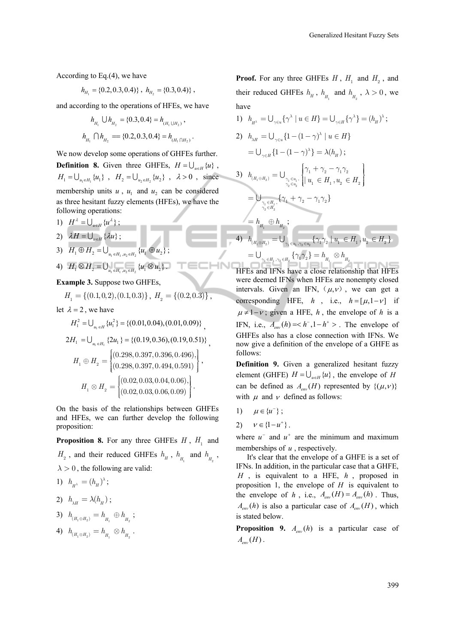According to Eq.(4), we have

$$
h_{H_1} = \{0.2, 0.3, 0.4\}, h_{H_2} = \{0.3, 0.4\},
$$

and according to the operations of HFEs, we have

$$
h_{H_1} \cup h_{H_2} = \{0.3, 0.4\} = h_{(H_1 \cup H_2)},
$$
  

$$
h_{H_1} \cap h_{H_2} = \{0.2, 0.3, 0.4\} = h_{(H_1 \cap H_2)}.
$$

We now develop some operations of GHFEs further. **Definition 8.** Given three GHFEs,  $H = \bigcup_{u \in H} \{u\}$ ,  $H_1 = \bigcup_{u_1 \in H_1} \{u_1\}$ ,  $H_2 = \bigcup_{u_2 \in H_2} \{u_2\}$ ,  $\lambda > 0$ , since membership units  $u$ ,  $u_1$  and  $u_2$  can be considered as three hesitant fuzzy elements (HFEs), we have the following operations:

- 1)  $H^{\lambda} = \bigcup_{u \in H} \{u^{\lambda}\};$
- 2)  $\lambda H = \bigcup_{u \in H} \{ \lambda u \};$
- 3)  $H_1 \oplus H_2 = \bigcup_{u_1 \in H_1, u_2 \in H_2} \{u_1 \oplus u_2\};$
- 4)  $H_1 \otimes H_2 = \bigcup_{u_1 \in H_1, u_2 \in H_2} \{u_1 \otimes u_2\}.$

**Example 3.** Suppose two GHFEs,

 $H_1 = \{(0.1, 0.2), (0.1, 0.3)\}, H_2 = \{(0.2, 0.3)\},$ 

let  $\lambda = 2$ , we have

$$
H_1^2 = \bigcup_{u_1 \in H_1} \{u_1^2\} = \{(0.01, 0.04), (0.01, 0.09)\},
$$
  
\n
$$
2H_1 = \bigcup_{u_1 \in H_1} \{2u_1\} = \{(0.19, 0.36), (0.19, 0.51)\},
$$
  
\n
$$
H_1 \oplus H_2 = \begin{cases} (0.298, 0.397, 0.396, 0.496), \\ (0.298, 0.397, 0.494, 0.591) \end{cases},
$$
  
\n
$$
H_1 \otimes H_2 = \begin{cases} (0.02, 0.03, 0.04, 0.06), \\ (0.02, 0.03, 0.06, 0.09) \end{cases}.
$$

On the basis of the relationships between GHFEs and HFEs, we can further develop the following proposition:

**Proposition 8.** For any three GHFEs  $H$ ,  $H_1$  and  $H_2$ , and their reduced GHFEs  $h_H$ ,  $h_H$  and  $h_H$ ,  $\lambda > 0$ , the following are valid:

$$
1) \ \ h_{_{H^\lambda}} = (h_{_H})^\lambda\, ;
$$

$$
2) \quad h_{\lambda H} = \lambda(h_{H}) \; ;
$$

$$
3)\ \ h_{_{(H_{_{1}\oplus H_{_{2}})}}}=h_{_{H_{_{1}}}}\oplus h_{_{H_{_{2}}}}\, ;
$$

$$
{\rm 4)}~~h_{_{(H_1\otimes H_2)}}=h_{_{H_1}}\otimes h_{_{H_2}}\ .
$$

**Proof.** For any three GHFEs  $H$ ,  $H_1$  and  $H_2$ , and their reduced GHFEs  $h_{H}$ ,  $h_{H}$  and  $h_{H}$ ,  $\lambda > 0$ , we have

1) 
$$
h_{H^{\lambda}} = \bigcup_{\gamma \in u} \{ \gamma^{\lambda} \mid u \in H \} = \bigcup_{\gamma \in H} \{ \gamma^{\lambda} \} = (h_H)^{\lambda};
$$
  
\n2)  $h_{\lambda H} = \bigcup_{\gamma \in u} \{ 1 - (1 - \gamma)^{\lambda} \mid u \in H \}$   
\n $= \bigcup_{\gamma \in H} \{ 1 - (1 - \gamma)^{\lambda} \} = \lambda(h_H);$   
\n3)  $h_{(H_1 \oplus H_2)} = \bigcup_{\substack{\gamma_1 \in u_1, \\ \gamma_2 \in u_2}} \left\{ \gamma_1 + \gamma_2 - \gamma_1 \gamma_2 \right\}$   
\n $= \bigcup_{\substack{\gamma_1 \in H_1, \\ \gamma_2 \in H_2}} \{ \gamma_1 + \gamma_2 - \gamma_1 \gamma_2 \}$   
\n $= h_{H_1} \oplus h_{H_2};$   
\n4)  $h_{(H_1 \otimes H_2)} = \bigcup_{\gamma_1 \in u_1, \gamma_2 \in u_2} \{ \gamma_1 \gamma_2 \mid u_1 \in H_1, u_2 \in H_2 \}$   
\n $= \bigcup_{\gamma_1 \in H_1, \gamma_2 \in H_2} \{ \gamma_1 \gamma_2 \} = h_{H_1} \otimes h_{H_2}$ 

HFEs and IFNs have a close relationship that HFEs were deemed IFNs when HFEs are nonempty closed intervals. Given an IFN,  $(\mu, \nu)$ , we can get a corresponding HFE,  $h$ , i.e.,  $h = [\mu, 1 - \nu]$  if  $\mu \neq 1-\nu$ ; given a HFE, *h*, the envelope of *h* is a IFN, i.e.,  $A_{\text{env}}(h) = < h^{\dagger}, 1 - h^{\dagger} >$ . The envelope of GHFEs also has a close connection with IFNs. We now give a definition of the envelope of a GHFE as follows:

**Definition 9.** Given a generalized hesitant fuzzy element (GHFE)  $H = \bigcup_{u \in H} \{u\}$ , the envelope of *H* can be defined as  $A_{env}(H)$  represented by  $\{(\mu, \nu)\}\$ with  $\mu$  and  $\nu$  defined as follows:

- 1)  $\mu \in \{u^-\}$ ;
- 2)  $v \in \{1 u^+\}$ .

where  $u^{-}$  and  $u^{+}$  are the minimum and maximum memberships of *u* , respectively.

It's clear that the envelope of a GHFE is a set of IFNs. In addition, in the particular case that a GHFE, *H* , is equivalent to a HFE, *h* , proposed in proposition 1, the envelope of *H* is equivalent to the envelope of *h*, i.e.,  $A_{\text{env}}(H) = A_{\text{env}}(h)$ . Thus,  $A_{env}(h)$  is also a particular case of  $A_{env}(H)$ , which is stated below.

**Proposition 9.**  $A_{env}(h)$  is a particular case of  $A_{\scriptscriptstyle \text{env}}(H)$ .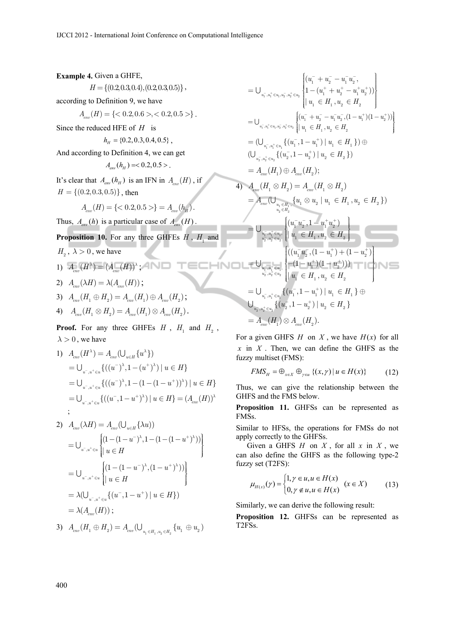**Example 4.** Given a GHFE,  $H = \{(0.2, 0.3, 0.4), (0.2, 0.3, 0.5)\},\$ according to Definition 9, we have  $A ( H ) = \{ <0.2, 0.6>, <0.2, 0.5> \}$ . Since the reduced HFE of *H* is  $h<sub>H</sub> = \{0.2, 0.3, 0.4, 0.5\}$ , And according to Definition 4, we can get  $A_{\text{em}}(h_u) = 0.2, 0.5$ . It's clear that  $A_{\text{env}}(h_H)$  is an IFN in  $A_{\text{env}}(H)$ , if  $H = \{(0.2, 0.3, 0.5)\}\,$ , then  $A_{\text{max}}(H) = \{ <0.2, 0.5 > \} = A_{\text{env}}(h_{\text{H}})$ . Thus,  $A_{\text{env}}(h)$  is a particular case of  $A_{\text{env}}(H)$ . **Proposition 10.** For any three GHFEs  $H$ ,  $H$ <sub>1</sub> and  $H_{\alpha}$ ,  $\lambda > 0$ , we have 1)  $A_{\text{env}}(H^{\lambda}) = (A_{\text{env}}(H))^{\lambda}$ ; 2)  $A (\lambda H) = \lambda (A (H))$ ; 3)  $A_-(H_1 \oplus H_2) = A_-(H_1) \oplus A_-(H_2);$ 4)  $A_{em} (H_1 \otimes H_2) = A_{em} (H_1) \otimes A_{em} (H_2)$ . **Proof.** For any three GHFEs  $H$ ,  $H$ <sub>1</sub> and  $H$ <sub>2</sub>,  $\lambda > 0$ , we have U U  $2^{u_2} \subset u_2$  $u_2^-, u_2^+ \in u$  $+$  $+$ Î U U  $- +$ U , - + - + U  $2, u_2 \in u_2$  $u_2^-, u_2^+ \in u$  $+$  $- +$  $\in$ U U

1) 
$$
A_{env}(H^{\lambda}) = A_{env}(\bigcup_{u \in H} \{u^{\lambda}\})
$$
  
\n
$$
= \bigcup_{u^{-},u^{+} \in u} \{((u^{-})^{\lambda}, 1 - (u^{+})^{\lambda}) | u \in H\}
$$
  
\n
$$
= \bigcup_{u^{-},u^{+} \in u} \{((u^{-})^{\lambda}, 1 - (1 - (1 - u^{+}))^{\lambda}) | u \in H\}
$$
  
\n
$$
= \bigcup_{u^{-},u^{+} \in u} \{((u^{-}, 1 - u^{+})^{\lambda}) | u \in H\} = (A_{env}(H))^{\lambda}
$$
  
\n
$$
\vdots
$$

2) 
$$
A_{env}(\lambda H) = A_{env}(\bigcup_{u \in H} \{\lambda u)\}
$$
  
\n
$$
= \bigcup_{u^{-}, u^{+} \in u} \left\{ (1 - (1 - u^{-})^{\lambda}, 1 - (1 - (1 - u^{+})^{\lambda})) \right\}
$$
  
\n
$$
= \bigcup_{u^{-}, u^{+} \in u} \left\{ (1 - (1 - u^{-})^{\lambda}, (1 - u^{+})^{\lambda})) \right\}
$$
  
\n
$$
= \lambda \bigcup_{u^{-}, u^{+} \in u} \left\{ (u^{-}, 1 - u^{+}) \mid u \in H \right\}
$$
  
\n
$$
= \lambda (A_{env}(H));
$$

3) 
$$
A_{_{env}}(H_1 \oplus H_2) = A_{_{env}}(\bigcup_{u_1 \in H_1, u_2 \in H_2} \{u_1 \oplus u_2\})
$$

$$
= \bigcup_{u_{1}^{-},u_{1}^{+} \in u_{1},u_{2}^{-},u_{2}^{+} \in u_{2}} \left\{ \begin{aligned} &a_{1}^{-} + u_{2}^{-} - u_{1}^{-} u_{2}^{-}, \\ &1 - (u_{1}^{+} + u_{2}^{+} - u_{1}^{+} u_{2}^{+}) ) \end{aligned} \right\} \\ = \bigcup_{u_{1}^{-},u_{1}^{+} \in u_{1},u_{2}^{-},u_{2}^{+} \in u_{2}} \left\{ \begin{aligned} &a_{1}^{-} + u_{2}^{-} - u_{1}^{-} u_{2}^{-}, (1 - u_{1}^{+})(1 - u_{2}^{+}) ) \end{aligned} \right\} \\ = \bigcup_{u_{1}^{-},u_{1}^{+} \in u_{1},u_{2}^{-},u_{2}^{+} \in u_{2}} \left\{ \begin{aligned} &a_{1}^{-} + u_{2}^{-} - u_{1}^{-} u_{2}^{-}, (1 - u_{1}^{+})(1 - u_{2}^{+}) ) \end{aligned} \right\} \\ = \bigcup_{u_{2}^{-},u_{2}^{+} \in u_{2}} \left\{ (u_{2}^{-}, 1 - u_{2}^{+}) \mid u_{1} \in H_{1} \right\} \right) \oplus \\ &\qquad \bigcup_{u_{2}^{-},u_{2}^{+} \in u_{2}} \left\{ (u_{2}^{-}, 1 - u_{2}^{+}) \mid u_{2} \in H_{2} \right\} \right\} \\ = A_{env}(H_{1}) \oplus A_{env}(H_{2}); \\ = A_{env}(H_{1}) \oplus A_{env}(H_{2}); \\ = A_{env}(H_{1}) \otimes u_{2} \mid u_{1} \in H_{1}, u_{2} \in H_{2} \right\} \\ = \bigcup_{u_{1}^{-},u_{1}^{+} \in u_{1}} \left\{ \begin{aligned} &a_{1}^{+} - a_{1}^{+} u_{2}^{+} \\ &a_{1}^{-}, a_{2}^{+} \in u_{2} \end{aligned} \right\} \\ = \bigcup_{u_{1}^{-},u_{1}^{+} \in u_{1}} \left\{ \begin{aligned} &a_{1}^{+} - a_{1}^{-} u_{2}^{+} \\ &a_{1}^{-}, a_{2}^{+} \in u_{2} \end{aligned} \right\} \\ = \bigcup_{u_{1}^{-},u_{1}^{+} \in u
$$

For a given GHFS  $H$  on  $X$ , we have  $H(x)$  for all *x* in *X* . Then, we can define the GHFS as the fuzzy multiset (FMS):

$$
FMS_H = \bigoplus_{x \in X} \bigoplus_{\gamma \in u} \left\{ (x, \gamma) \, | \, u \in H(x) \right\} \tag{12}
$$

Thus, we can give the relationship between the GHFS and the FMS below.

**Proposition 11.** GHFSs can be represented as FMSs.

Similar to HFSs, the operations for FMSs do not apply correctly to the GHFSs.

Given a GHFS *H* on *X* , for all *x* in *X* , we can also define the GHFS as the following type-2 fuzzy set (T2FS):

$$
\mu_{H(x)}(\gamma) = \begin{cases} 1, \gamma \in u, u \in H(x) \\ 0, \gamma \notin u, u \in H(x) \end{cases} (x \in X)
$$
 (13)

Similarly, we can derive the following result:

**Proposition 12.** GHFSs can be represented as T2FSs.